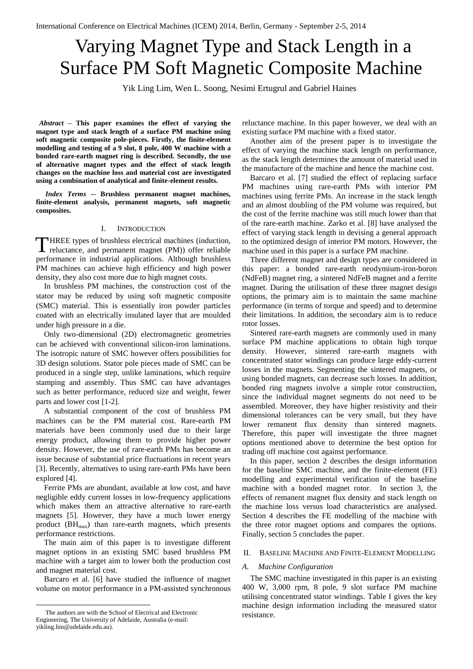# Varying Magnet Type and Stack Length in a Surface PM Soft Magnetic Composite Machine

Yik Ling Lim, Wen L. Soong, Nesimi Ertugrul and Gabriel Haines

*Abstract* **– This paper examines the effect of varying the magnet type and stack length of a surface PM machine using soft magnetic composite pole-pieces. Firstly, the finite-element modelling and testing of a 9 slot, 8 pole, 400 W machine with a bonded rare-earth magnet ring is described. Secondly, the use of alternative magnet types and the effect of stack length changes on the machine loss and material cost are investigated using a combination of analytical and finite-element results.**

*Index Terms* **-- Brushless permanent magnet machines, finite-element analysis, permanent magnets, soft magnetic composites.**

## I. INTRODUCTION

HREE types of brushless electrical machines (induction, reluctance, and permanent magnet (PM)) offer reliable performance in industrial applications. Although brushless PM machines can achieve high efficiency and high power density, they also cost more due to high magnet costs. T

In brushless PM machines, the construction cost of the stator may be reduced by using soft magnetic composite (SMC) material. This is essentially iron powder particles coated with an electrically insulated layer that are moulded under high pressure in a die.

Only two-dimensional (2D) electromagnetic geometries can be achieved with conventional silicon-iron laminations. The isotropic nature of SMC however offers possibilities for 3D design solutions. Stator pole pieces made of SMC can be produced in a single step, unlike laminations, which require stamping and assembly. Thus SMC can have advantages such as better performance, reduced size and weight, fewer parts and lower cost [1-2].

A substantial component of the cost of brushless PM machines can be the PM material cost. Rare-earth PM materials have been commonly used due to their large energy product, allowing them to provide higher power density. However, the use of rare-earth PMs has become an issue because of substantial price fluctuations in recent years [3]. Recently, alternatives to using rare-earth PMs have been explored [4].

Ferrite PMs are abundant, available at low cost, and have negligible eddy current losses in low-frequency applications which makes them an attractive alternative to rare-earth magnets [5]. However, they have a much lower energy product  $(BH_{max})$  than rare-earth magnets, which presents performance restrictions.

The main aim of this paper is to investigate different magnet options in an existing SMC based brushless PM machine with a target aim to lower both the production cost and magnet material cost.

Barcaro et al. [6] have studied the influence of magnet volume on motor performance in a PM-assisted synchronous

1

reluctance machine. In this paper however, we deal with an existing surface PM machine with a fixed stator.

Another aim of the present paper is to investigate the effect of varying the machine stack length on performance, as the stack length determines the amount of material used in the manufacture of the machine and hence the machine cost.

Barcaro et al. [7] studied the effect of replacing surface PM machines using rare-earth PMs with interior PM machines using ferrite PMs. An increase in the stack length and an almost doubling of the PM volume was required, but the cost of the ferrite machine was still much lower than that of the rare-earth machine. Zarko et al. [8] have analysed the effect of varying stack length in devising a general approach to the optimized design of interior PM motors. However, the machine used in this paper is a surface PM machine.

Three different magnet and design types are considered in this paper: a bonded rare-earth neodymium-iron-boron (NdFeB) magnet ring, a sintered NdFeB magnet and a ferrite magnet. During the utilisation of these three magnet design options, the primary aim is to maintain the same machine performance (in terms of torque and speed) and to determine their limitations. In addition, the secondary aim is to reduce rotor losses.

Sintered rare-earth magnets are commonly used in many surface PM machine applications to obtain high torque density. However, sintered rare-earth magnets with concentrated stator windings can produce large eddy-current losses in the magnets. Segmenting the sintered magnets, or using bonded magnets, can decrease such losses. In addition, bonded ring magnets involve a simple rotor construction, since the individual magnet segments do not need to be assembled. Moreover, they have higher resistivity and their dimensional tolerances can be very small, but they have lower remanent flux density than sintered magnets. Therefore, this paper will investigate the three magnet options mentioned above to determine the best option for trading off machine cost against performance.

In this paper, section 2 describes the design information for the baseline SMC machine, and the finite-element (FE) modelling and experimental verification of the baseline machine with a bonded magnet rotor. In section 3, the effects of remanent magnet flux density and stack length on the machine loss versus load characteristics are analysed. Section 4 describes the FE modelling of the machine with the three rotor magnet options and compares the options. Finally, section 5 concludes the paper.

## II. BASELINE MACHINE AND FINITE-ELEMENT MODELLING

#### *A. Machine Configuration*

The SMC machine investigated in this paper is an existing 400 W, 3,000 rpm, 8 pole, 9 slot surface PM machine utilising concentrated stator windings. Table I gives the key machine design information including the measured stator resistance.

The authors are with the School of Electrical and Electronic Engineering, The University of Adelaide, Australia (e-mail: yikling.lim@adelaide.edu.au).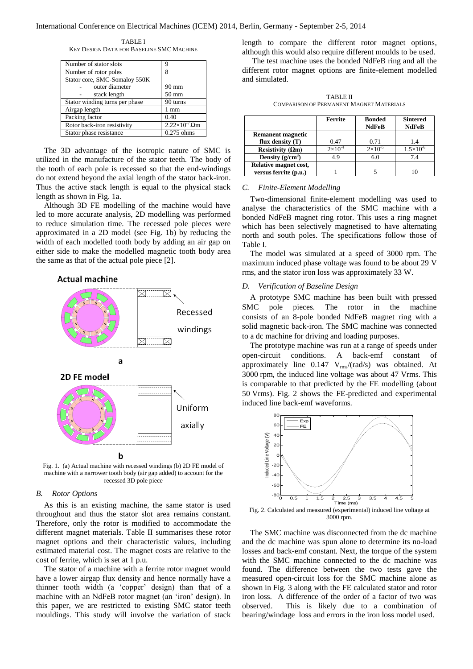TABLE I KEY DESIGN DATA FOR BASELINE SMC MACHINE

| Number of stator slots                                | q               |  |
|-------------------------------------------------------|-----------------|--|
| Number of rotor poles                                 | 8               |  |
| Stator core, SMC-Somaloy 550K                         |                 |  |
| outer diameter                                        | $90 \text{ mm}$ |  |
| stack length                                          | $50 \text{ mm}$ |  |
| Stator winding turns per phase                        | 90 turns        |  |
| Airgap length                                         | 1 mm            |  |
| Packing factor                                        | 0.40            |  |
| $2.22\times10^{-7}$ Qm<br>Rotor back-iron resistivity |                 |  |
| Stator phase resistance                               | $0.275$ ohms    |  |

The 3D advantage of the isotropic nature of SMC is utilized in the manufacture of the stator teeth. The body of the tooth of each pole is recessed so that the end-windings do not extend beyond the axial length of the stator back-iron. Thus the active stack length is equal to the physical stack length as shown in Fig. 1a.

Although 3D FE modelling of the machine would have led to more accurate analysis, 2D modelling was performed to reduce simulation time. The recessed pole pieces were approximated in a 2D model (see Fig. 1b) by reducing the width of each modelled tooth body by adding an air gap on either side to make the modelled magnetic tooth body area the same as that of the actual pole piece [2].

**Actual machine** 



Fig. 1. (a) Actual machine with recessed windings (b) 2D FE model of machine with a narrower tooth body (air gap added) to account for the recessed 3D pole piece

## *B. Rotor Options*

As this is an existing machine, the same stator is used throughout and thus the stator slot area remains constant. Therefore, only the rotor is modified to accommodate the different magnet materials. Table II summarises these rotor magnet options and their characteristic values, including estimated material cost. The magnet costs are relative to the cost of ferrite, which is set at 1 p.u.

The stator of a machine with a ferrite rotor magnet would have a lower airgap flux density and hence normally have a thinner tooth width (a 'copper' design) than that of a machine with an NdFeB rotor magnet (an 'iron' design). In this paper, we are restricted to existing SMC stator teeth mouldings. This study will involve the variation of stack length to compare the different rotor magnet options, although this would also require different moulds to be used.

The test machine uses the bonded NdFeB ring and all the different rotor magnet options are finite-element modelled and simulated.

TABLE II COMPARISON OF PERMANENT MAGNET MATERIALS

|                           | <b>Ferrite</b>     | <b>Bonded</b><br><b>NdFeB</b> | <b>Sintered</b><br><b>NdFeB</b> |
|---------------------------|--------------------|-------------------------------|---------------------------------|
| Remanent magnetic         |                    |                               |                                 |
| flux density $(T)$        | 0.47               | 0.71                          | 1.4                             |
| Resistivity ( $\Omega$ m) | $2 \times 10^{-4}$ | $2 \times 10^{-5}$            | $1.5 \times 10^{-6}$            |
| Density $(g/cm^3)$        | 49                 | 6.0                           | 7.4                             |
| Relative magnet cost,     |                    |                               |                                 |
| versus ferrite (p.u.)     |                    |                               |                                 |

## *C. Finite-Element Modelling*

Two-dimensional finite-element modelling was used to analyse the characteristics of the SMC machine with a bonded NdFeB magnet ring rotor. This uses a ring magnet which has been selectively magnetised to have alternating north and south poles. The specifications follow those of Table I.

The model was simulated at a speed of 3000 rpm. The maximum induced phase voltage was found to be about 29 V rms, and the stator iron loss was approximately 33 W.

## *D. Verification of Baseline Design*

A prototype SMC machine has been built with pressed SMC pole pieces. The rotor in the machine consists of an 8-pole bonded NdFeB magnet ring with a solid magnetic back-iron. The SMC machine was connected to a dc machine for driving and loading purposes.

The prototype machine was run at a range of speeds under open-circuit conditions. A back-emf constant of approximately line  $0.147 \text{ V}_{\text{rms}}/(\text{rad/s})$  was obtained. At 3000 rpm, the induced line voltage was about 47 Vrms. This is comparable to that predicted by the FE modelling (about 50 Vrms). Fig. 2 shows the FE-predicted and experimental induced line back-emf waveforms.



Fig. 2. Calculated and measured (experimental) induced line voltage at 3000 rpm.

The SMC machine was disconnected from the dc machine and the dc machine was spun alone to determine its no-load losses and back-emf constant. Next, the torque of the system with the SMC machine connected to the dc machine was found. The difference between the two tests gave the measured open-circuit loss for the SMC machine alone as shown in Fig. 3 along with the FE calculated stator and rotor iron loss. A difference of the order of a factor of two was observed. This is likely due to a combination of bearing/windage loss and errors in the iron loss model used.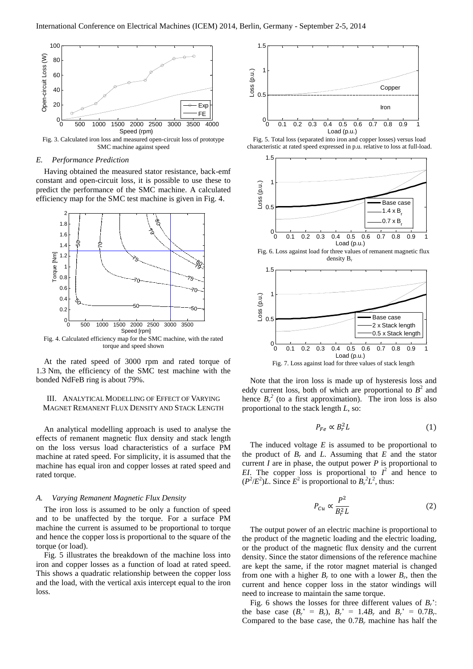

Fig. 3. Calculated iron loss and measured open-circuit loss of prototype SMC machine against speed

## *E. Performance Prediction*

Having obtained the measured stator resistance, back-emf constant and open-circuit loss, it is possible to use these to predict the performance of the SMC machine. A calculated efficiency map for the SMC test machine is given in Fig. 4.



torque and speed shown

At the rated speed of 3000 rpm and rated torque of 1.3 Nm, the efficiency of the SMC test machine with the bonded NdFeB ring is about 79%.

## III. ANALYTICAL MODELLING OF EFFECT OF VARYING MAGNET REMANENT FLUX DENSITY AND STACK LENGTH

An analytical modelling approach is used to analyse the effects of remanent magnetic flux density and stack length on the loss versus load characteristics of a surface PM machine at rated speed. For simplicity, it is assumed that the machine has equal iron and copper losses at rated speed and rated torque.

#### *A. Varying Remanent Magnetic Flux Density*

The iron loss is assumed to be only a function of speed and to be unaffected by the torque. For a surface PM machine the current is assumed to be proportional to torque and hence the copper loss is proportional to the square of the torque (or load).

Fig. 5 illustrates the breakdown of the machine loss into iron and copper losses as a function of load at rated speed. This shows a quadratic relationship between the copper loss and the load, with the vertical axis intercept equal to the iron loss.



Fig. 5. Total loss (separated into iron and copper losses) versus load characteristic at rated speed expressed in p.u. relative to loss at full-load.



Fig. 6. Loss against load for three values of remanent magnetic flux density B.



Note that the iron loss is made up of hysteresis loss and eddy current loss, both of which are proportional to  $B^2$  and hence  $B_r^2$  (to a first approximation). The iron loss is also proportional to the stack length *L*, so:

$$
P_{Fe} \propto B_r^2 L \tag{1}
$$

The induced voltage *E* is assumed to be proportional to the product of  $B_r$  and *L*. Assuming that *E* and the stator current *I* are in phase, the output power *P* is proportional to *EI*. The copper loss is proportional to  $I^2$  and hence to  $(P^2/E^2)L$ . Since  $E^2$  is proportional to  $B_r^2L^2$ , thus:

$$
P_{Cu} \propto \frac{P^2}{B_r^2 L} \tag{2}
$$

The output power of an electric machine is proportional to the product of the magnetic loading and the electric loading, or the product of the magnetic flux density and the current density. Since the stator dimensions of the reference machine are kept the same, if the rotor magnet material is changed from one with a higher  $B_r$  to one with a lower  $B_r$ , then the current and hence copper loss in the stator windings will need to increase to maintain the same torque.

Fig. 6 shows the losses for three different values of *Br*': the base case  $(B_r' = B_r)$ ,  $B_r' = 1.4B_r$  and  $B_r' = 0.7B_r$ . Compared to the base case, the  $0.7B_r$  machine has half the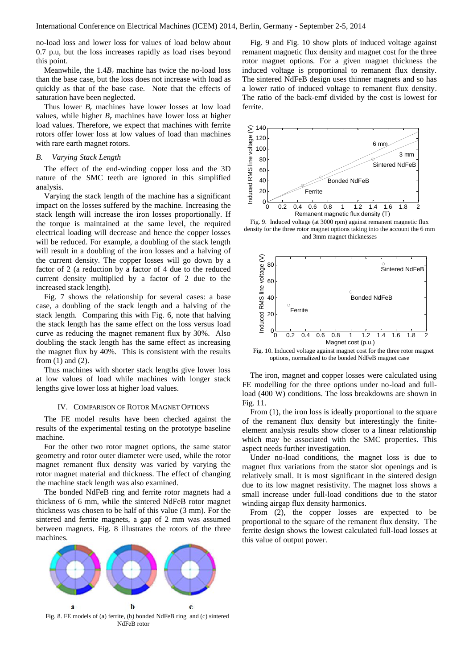no-load loss and lower loss for values of load below about 0.7 p.u, but the loss increases rapidly as load rises beyond this point.

Meanwhile, the 1.4*B<sup>r</sup>* machine has twice the no-load loss than the base case, but the loss does not increase with load as quickly as that of the base case. Note that the effects of saturation have been neglected.

Thus lower  $B_r$  machines have lower losses at low load values, while higher  $B_r$  machines have lower loss at higher load values. Therefore, we expect that machines with ferrite rotors offer lower loss at low values of load than machines with rare earth magnet rotors.

#### *B. Varying Stack Length*

The effect of the end-winding copper loss and the 3D nature of the SMC teeth are ignored in this simplified analysis.

Varying the stack length of the machine has a significant impact on the losses suffered by the machine. Increasing the stack length will increase the iron losses proportionally. If the torque is maintained at the same level, the required electrical loading will decrease and hence the copper losses will be reduced. For example, a doubling of the stack length will result in a doubling of the iron losses and a halving of the current density. The copper losses will go down by a factor of 2 (a reduction by a factor of 4 due to the reduced current density multiplied by a factor of 2 due to the increased stack length).

Fig. 7 shows the relationship for several cases: a base case, a doubling of the stack length and a halving of the stack length. Comparing this with Fig. 6, note that halving the stack length has the same effect on the loss versus load curve as reducing the magnet remanent flux by 30%. Also doubling the stack length has the same effect as increasing the magnet flux by 40%. This is consistent with the results from (1) and (2).

Thus machines with shorter stack lengths give lower loss at low values of load while machines with longer stack lengths give lower loss at higher load values.

### IV. COMPARISON OF ROTOR MAGNET OPTIONS

The FE model results have been checked against the results of the experimental testing on the prototype baseline machine.

For the other two rotor magnet options, the same stator geometry and rotor outer diameter were used, while the rotor magnet remanent flux density was varied by varying the rotor magnet material and thickness. The effect of changing the machine stack length was also examined.

The bonded NdFeB ring and ferrite rotor magnets had a thickness of 6 mm, while the sintered NdFeB rotor magnet thickness was chosen to be half of this value (3 mm). For the sintered and ferrite magnets, a gap of 2 mm was assumed between magnets. Fig. 8 illustrates the rotors of the three machines.



Fig. 8. FE models of (a) ferrite, (b) bonded NdFeB ring and (c) sintered NdFeB rotor

Fig. 9 and Fig. 10 show plots of induced voltage against remanent magnetic flux density and magnet cost for the three rotor magnet options. For a given magnet thickness the induced voltage is proportional to remanent flux density. The sintered NdFeB design uses thinner magnets and so has a lower ratio of induced voltage to remanent flux density. The ratio of the back-emf divided by the cost is lowest for ferrite.



Fig. 9. Induced voltage (at 3000 rpm) against remanent magnetic flux density for the three rotor magnet options taking into the account the 6 mm and 3mm magnet thicknesses



Fig. 10. Induced voltage against magnet cost for the three rotor magnet options, normalized to the bonded NdFeB magnet case

The iron, magnet and copper losses were calculated using FE modelling for the three options under no-load and fullload (400 W) conditions. The loss breakdowns are shown in Fig. 11.

From  $(1)$ , the iron loss is ideally proportional to the square of the remanent flux density but interestingly the finiteelement analysis results show closer to a linear relationship which may be associated with the SMC properties. This aspect needs further investigation.

Under no-load conditions, the magnet loss is due to magnet flux variations from the stator slot openings and is relatively small. It is most significant in the sintered design due to its low magnet resistivity. The magnet loss shows a small increase under full-load conditions due to the stator winding airgap flux density harmonics.

From (2), the copper losses are expected to be proportional to the square of the remanent flux density. The ferrite design shows the lowest calculated full-load losses at this value of output power.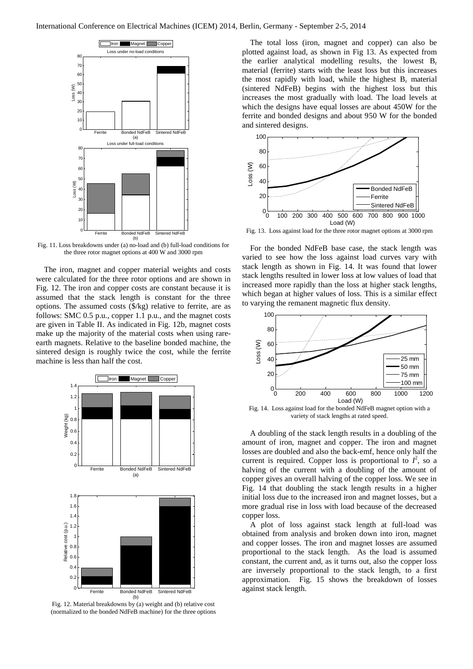

Fig. 11. Loss breakdowns under (a) no-load and (b) full-load conditions for the three rotor magnet options at 400 W and 3000 rpm

The iron, magnet and copper material weights and costs were calculated for the three rotor options and are shown in Fig. 12. The iron and copper costs are constant because it is assumed that the stack length is constant for the three options. The assumed costs (\$/kg) relative to ferrite, are as follows: SMC 0.5 p.u., copper 1.1 p.u., and the magnet costs are given in Table II. As indicated in Fig. 12b, magnet costs make up the majority of the material costs when using rareearth magnets. Relative to the baseline bonded machine, the sintered design is roughly twice the cost, while the ferrite machine is less than half the cost.



Fig. 12. Material breakdowns by (a) weight and (b) relative cost (normalized to the bonded NdFeB machine) for the three options

The total loss (iron, magnet and copper) can also be plotted against load, as shown in Fig 13. As expected from the earlier analytical modelling results, the lowest  $B_r$ material (ferrite) starts with the least loss but this increases the most rapidly with load, while the highest  $B_r$  material (sintered NdFeB) begins with the highest loss but this increases the most gradually with load. The load levels at which the designs have equal losses are about 450W for the ferrite and bonded designs and about 950 W for the bonded and sintered designs.



Fig. 13. Loss against load for the three rotor magnet options at 3000 rpm

For the bonded NdFeB base case, the stack length was varied to see how the loss against load curves vary with stack length as shown in Fig. 14. It was found that lower stack lengths resulted in lower loss at low values of load that increased more rapidly than the loss at higher stack lengths, which began at higher values of loss. This is a similar effect to varying the remanent magnetic flux density.



Fig. 14. Loss against load for the bonded NdFeB magnet option with a variety of stack lengths at rated speed.

A doubling of the stack length results in a doubling of the amount of iron, magnet and copper. The iron and magnet losses are doubled and also the back-emf, hence only half the current is required. Copper loss is proportional to  $I^2$ , so a halving of the current with a doubling of the amount of copper gives an overall halving of the copper loss. We see in Fig. 14 that doubling the stack length results in a higher initial loss due to the increased iron and magnet losses, but a more gradual rise in loss with load because of the decreased copper loss.

A plot of loss against stack length at full-load was obtained from analysis and broken down into iron, magnet and copper losses. The iron and magnet losses are assumed proportional to the stack length. As the load is assumed constant, the current and, as it turns out, also the copper loss are inversely proportional to the stack length, to a first approximation. Fig. 15 shows the breakdown of losses against stack length.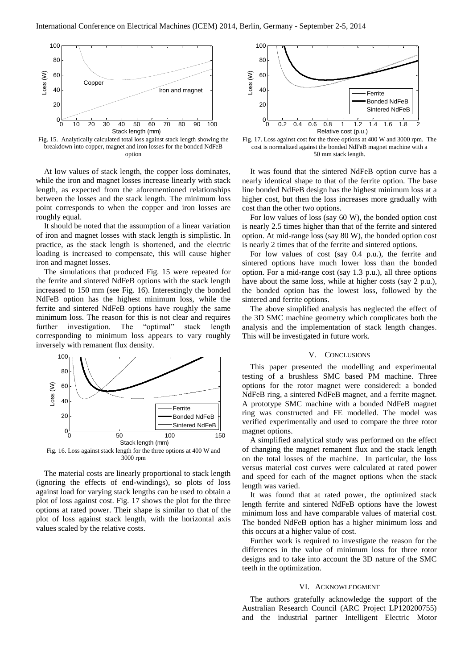

Fig. 15. Analytically calculated total loss against stack length showing the breakdown into copper, magnet and iron losses for the bonded NdFeB option

At low values of stack length, the copper loss dominates, while the iron and magnet losses increase linearly with stack length, as expected from the aforementioned relationships between the losses and the stack length. The minimum loss point corresponds to when the copper and iron losses are roughly equal.

It should be noted that the assumption of a linear variation of iron and magnet losses with stack length is simplistic. In practice, as the stack length is shortened, and the electric loading is increased to compensate, this will cause higher iron and magnet losses.

The simulations that produced Fig. 15 were repeated for the ferrite and sintered NdFeB options with the stack length increased to 150 mm (see Fig. 16). Interestingly the bonded NdFeB option has the highest minimum loss, while the ferrite and sintered NdFeB options have roughly the same minimum loss. The reason for this is not clear and requires further investigation. The "optimal" stack length corresponding to minimum loss appears to vary roughly inversely with remanent flux density.



The material costs are linearly proportional to stack length (ignoring the effects of end-windings), so plots of loss against load for varying stack lengths can be used to obtain a plot of loss against cost. Fig. 17 shows the plot for the three options at rated power. Their shape is similar to that of the plot of loss against stack length, with the horizontal axis values scaled by the relative costs.



Fig. 17. Loss against cost for the three options at 400 W and 3000 rpm. The cost is normalized against the bonded NdFeB magnet machine with a 50 mm stack length.

It was found that the sintered NdFeB option curve has a nearly identical shape to that of the ferrite option. The base line bonded NdFeB design has the highest minimum loss at a higher cost, but then the loss increases more gradually with cost than the other two options.

For low values of loss (say 60 W), the bonded option cost is nearly 2.5 times higher than that of the ferrite and sintered option. At mid-range loss (say 80 W), the bonded option cost is nearly 2 times that of the ferrite and sintered options.

For low values of cost (say 0.4 p.u.), the ferrite and sintered options have much lower loss than the bonded option. For a mid-range cost (say 1.3 p.u.), all three options have about the same loss, while at higher costs (say 2 p.u.), the bonded option has the lowest loss, followed by the sintered and ferrite options.

The above simplified analysis has neglected the effect of the 3D SMC machine geometry which complicates both the analysis and the implementation of stack length changes. This will be investigated in future work.

## V. CONCLUSIONS

This paper presented the modelling and experimental testing of a brushless SMC based PM machine. Three options for the rotor magnet were considered: a bonded NdFeB ring, a sintered NdFeB magnet, and a ferrite magnet. A prototype SMC machine with a bonded NdFeB magnet ring was constructed and FE modelled. The model was verified experimentally and used to compare the three rotor magnet options.

A simplified analytical study was performed on the effect of changing the magnet remanent flux and the stack length on the total losses of the machine. In particular, the loss versus material cost curves were calculated at rated power and speed for each of the magnet options when the stack length was varied.

It was found that at rated power, the optimized stack length ferrite and sintered NdFeB options have the lowest minimum loss and have comparable values of material cost. The bonded NdFeB option has a higher minimum loss and this occurs at a higher value of cost.

Further work is required to investigate the reason for the differences in the value of minimum loss for three rotor designs and to take into account the 3D nature of the SMC teeth in the optimization.

## VI. ACKNOWLEDGMENT

The authors gratefully acknowledge the support of the Australian Research Council (ARC Project LP120200755) and the industrial partner Intelligent Electric Motor